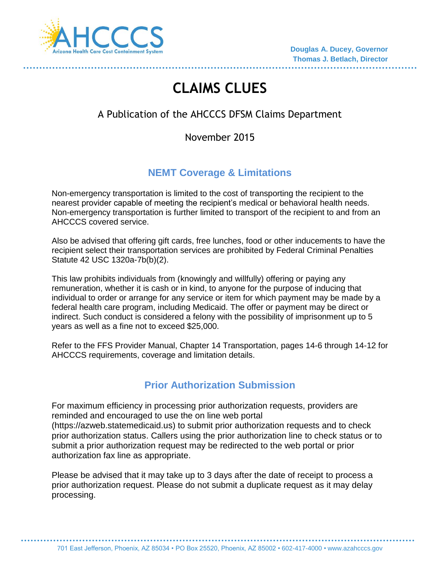

# **CLAIMS CLUES**

# A Publication of the AHCCCS DFSM Claims Department

# November 2015

# **NEMT Coverage & Limitations**

Non-emergency transportation is limited to the cost of transporting the recipient to the nearest provider capable of meeting the recipient's medical or behavioral health needs. Non-emergency transportation is further limited to transport of the recipient to and from an AHCCCS covered service.

Also be advised that offering gift cards, free lunches, food or other inducements to have the recipient select their transportation services are prohibited by Federal Criminal Penalties Statute 42 USC 1320a-7b(b)(2).

This law prohibits individuals from (knowingly and willfully) offering or paying any remuneration, whether it is cash or in kind, to anyone for the purpose of inducing that individual to order or arrange for any service or item for which payment may be made by a federal health care program, including Medicaid. The offer or payment may be direct or indirect. Such conduct is considered a felony with the possibility of imprisonment up to 5 years as well as a fine not to exceed \$25,000.

Refer to the FFS Provider Manual, Chapter 14 Transportation, pages 14-6 through 14-12 for AHCCCS requirements, coverage and limitation details.

# **Prior Authorization Submission**

For maximum efficiency in processing prior authorization requests, providers are reminded and encouraged to use the on line web portal (https://azweb.statemedicaid.us) to submit prior authorization requests and to check prior authorization status. Callers using the prior authorization line to check status or to submit a prior authorization request may be redirected to the web portal or prior authorization fax line as appropriate.

Please be advised that it may take up to 3 days after the date of receipt to process a prior authorization request. Please do not submit a duplicate request as it may delay processing.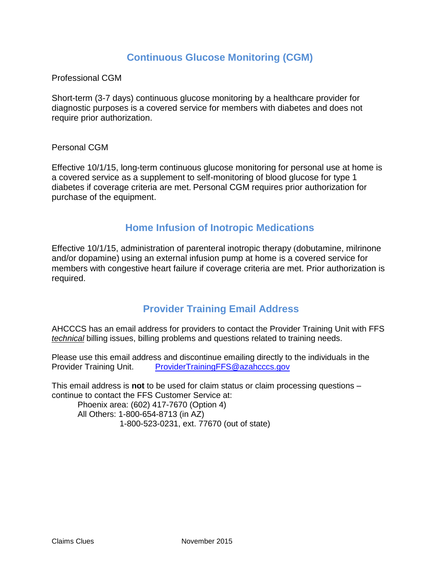# **Continuous Glucose Monitoring (CGM)**

Professional CGM

Short-term (3-7 days) continuous glucose monitoring by a healthcare provider for diagnostic purposes is a covered service for members with diabetes and does not require prior authorization.

#### Personal CGM

Effective 10/1/15, long-term continuous glucose monitoring for personal use at home is a covered service as a supplement to self-monitoring of blood glucose for type 1 diabetes if coverage criteria are met. Personal CGM requires prior authorization for purchase of the equipment.

### **Home Infusion of Inotropic Medications**

Effective 10/1/15, administration of parenteral inotropic therapy (dobutamine, milrinone and/or dopamine) using an external infusion pump at home is a covered service for members with congestive heart failure if coverage criteria are met. Prior authorization is required.

# **Provider Training Email Address**

AHCCCS has an email address for providers to contact the Provider Training Unit with FFS *technical* billing issues, billing problems and questions related to training needs.

Please use this email address and discontinue emailing directly to the individuals in the Provider Training Unit. [ProviderTrainingFFS@azahcccs.gov](mailto:ProviderTrainingFFS@azahcccs.gov)

This email address is **not** to be used for claim status or claim processing questions – continue to contact the FFS Customer Service at:

Phoenix area: (602) 417-7670 (Option 4) All Others: 1-800-654-8713 (in AZ) 1-800-523-0231, ext. 77670 (out of state)